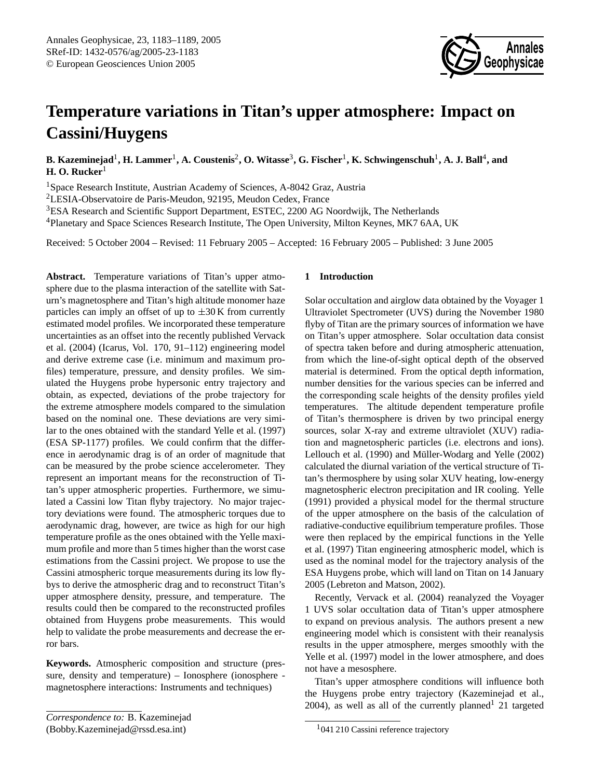# **Temperature variations in Titan's upper atmosphere: Impact on Cassini/Huygens**

 ${\bf B.}$  Kazeminejad<sup>1</sup>, **H.** Lammer<sup>1</sup>, A. Coustenis<sup>2</sup>, O. Witasse<sup>3</sup>, G. Fischer<sup>1</sup>, K. Schwingenschuh<sup>1</sup>, A. J. Ball<sup>4</sup>, and **H. O. Rucker**<sup>1</sup>

<sup>1</sup>Space Research Institute, Austrian Academy of Sciences, A-8042 Graz, Austria

<sup>2</sup>LESIA-Observatoire de Paris-Meudon, 92195, Meudon Cedex, France

<sup>3</sup>ESA Research and Scientific Support Department, ESTEC, 2200 AG Noordwijk, The Netherlands

<sup>4</sup>Planetary and Space Sciences Research Institute, The Open University, Milton Keynes, MK7 6AA, UK

Received: 5 October 2004 – Revised: 11 February 2005 – Accepted: 16 February 2005 – Published: 3 June 2005

**Abstract.** Temperature variations of Titan's upper atmosphere due to the plasma interaction of the satellite with Saturn's magnetosphere and Titan's high altitude monomer haze particles can imply an offset of up to  $\pm 30$  K from currently estimated model profiles. We incorporated these temperature uncertainties as an offset into the recently published [Vervack](#page-6-0) [et al.](#page-6-0) [\(2004\)](#page-6-0) (Icarus, Vol. 170, 91–112) engineering model and derive extreme case (i.e. minimum and maximum profiles) temperature, pressure, and density profiles. We simulated the Huygens probe hypersonic entry trajectory and obtain, as expected, deviations of the probe trajectory for the extreme atmosphere models compared to the simulation based on the nominal one. These deviations are very similar to the ones obtained with the standard [Yelle et al.](#page-6-1) [\(1997\)](#page-6-1) (ESA SP-1177) profiles. We could confirm that the difference in aerodynamic drag is of an order of magnitude that can be measured by the probe science accelerometer. They represent an important means for the reconstruction of Titan's upper atmospheric properties. Furthermore, we simulated a Cassini low Titan flyby trajectory. No major trajectory deviations were found. The atmospheric torques due to aerodynamic drag, however, are twice as high for our high temperature profile as the ones obtained with the Yelle maximum profile and more than 5 times higher than the worst case estimations from the Cassini project. We propose to use the Cassini atmospheric torque measurements during its low flybys to derive the atmospheric drag and to reconstruct Titan's upper atmosphere density, pressure, and temperature. The results could then be compared to the reconstructed profiles obtained from Huygens probe measurements. This would help to validate the probe measurements and decrease the error bars.

**Keywords.** Atmospheric composition and structure (pressure, density and temperature) – Ionosphere (ionosphere magnetosphere interactions: Instruments and techniques)

# **1 Introduction**

Solar occultation and airglow data obtained by the Voyager 1 Ultraviolet Spectrometer (UVS) during the November 1980 flyby of Titan are the primary sources of information we have on Titan's upper atmosphere. Solar occultation data consist of spectra taken before and during atmospheric attenuation, from which the line-of-sight optical depth of the observed material is determined. From the optical depth information, number densities for the various species can be inferred and the corresponding scale heights of the density profiles yield temperatures. The altitude dependent temperature profile of Titan's thermosphere is driven by two principal energy sources, solar X-ray and extreme ultraviolet (XUV) radiation and magnetospheric particles (i.e. electrons and ions). [Lellouch et al.](#page-6-2) [\(1990\)](#page-6-2) and Müller-Wodarg and Yelle [\(2002\)](#page-6-3) calculated the diurnal variation of the vertical structure of Titan's thermosphere by using solar XUV heating, low-energy magnetospheric electron precipitation and IR cooling. [Yelle](#page-6-4) [\(1991\)](#page-6-4) provided a physical model for the thermal structure of the upper atmosphere on the basis of the calculation of radiative-conductive equilibrium temperature profiles. Those were then replaced by the empirical functions in the [Yelle](#page-6-1) [et al.](#page-6-1) [\(1997\)](#page-6-1) Titan engineering atmospheric model, which is used as the nominal model for the trajectory analysis of the ESA Huygens probe, which will land on Titan on 14 January 2005 [\(Lebreton and Matson,](#page-6-5) [2002\)](#page-6-5).

**Annales Geophysicae**

Recently, [Vervack et al.](#page-6-0) [\(2004\)](#page-6-0) reanalyzed the Voyager 1 UVS solar occultation data of Titan's upper atmosphere to expand on previous analysis. The authors present a new engineering model which is consistent with their reanalysis results in the upper atmosphere, merges smoothly with the [Yelle et al.](#page-6-1) [\(1997\)](#page-6-1) model in the lower atmosphere, and does not have a mesosphere.

Titan's upper atmosphere conditions will influence both the Huygens probe entry trajectory [\(Kazeminejad et al.,](#page-6-6) [2004\)](#page-6-6), as well as all of the currently planned<sup>[1](#page-0-1)</sup> 21 targeted

<span id="page-0-0"></span>*Correspondence to:* B. Kazeminejad (Bobby.Kazeminejad@rssd.esa.int)

<span id="page-0-1"></span><sup>&</sup>lt;sup>1</sup>041 210 Cassini reference trajectory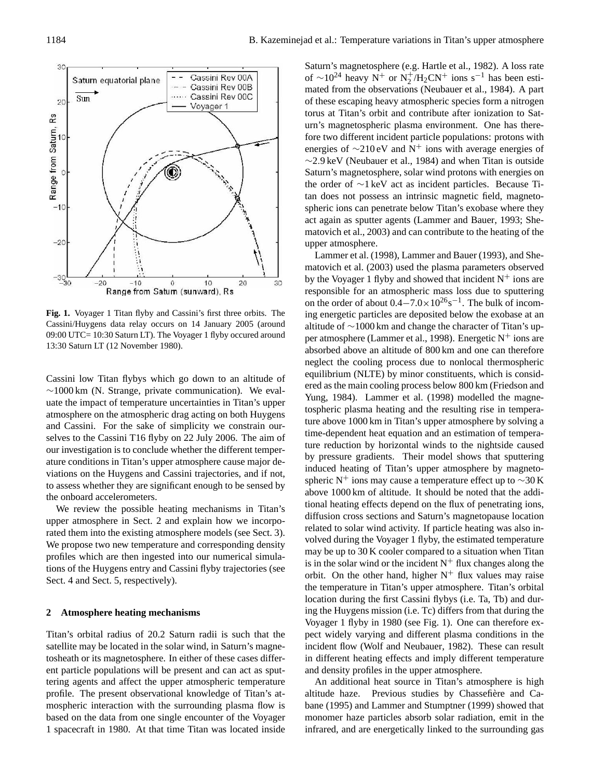

<span id="page-1-1"></span>**Fig. 1.** Voyager 1 Titan flyby and Cassini's first three orbits. The in  $\frac{6000 \text{ UTC}}{10.30 \text{ Saturn LT}}$ . The Voyager 1 flyby occured around  $\frac{6000 \text{ VTC}}{10.30 \text{ Saturn LT}}$ . 13:30 Saturn LT (12 November 1980). Cassini/Huygens data relay occurs on 14 January 2005 (around

Cassini low Titan flybys which go down to an altitude of  $\sim$ 1000 km (N. Strange, private communication). We evaluate the impact of temperature uncertainties in Titan's upper atmosphere on the atmospheric drag acting on both Huygens and Cassini. For the sake of simplicity we constrain ourselves to the Cassini T16 flyby on 22 July 2006. The aim of our investigation is to conclude whether the different temperature conditions in Titan's upper atmosphere cause major deviations on the Huygens and Cassini trajectories, and if not, to assess whether they are significant enough to be sensed by the onboard accelerometers.

upper atmosphere in Sect. [2](#page-1-0) and explain how we incorpo-We review the possible heating mechanisms in Titan's rated them into the existing atmosphere models (see Sect. [3\)](#page-2-0). We propose two new temperature and corresponding density profiles which are then ingested into our numerical simulations of the Huygens entry and Cassini flyby trajectories (see Sect. [4](#page-2-1) and Sect. [5,](#page-5-0) respectively).

#### <span id="page-1-0"></span>**2 Atmosphere heating mechanisms**

Titan's orbital radius of 20.2 Saturn radii is such that the satellite may be located in the solar wind, in Saturn's magnetosheath or its magnetosphere. In either of these cases different particle populations will be present and can act as sputtering agents and affect the upper atmospheric temperature profile. The present observational knowledge of Titan's atmospheric interaction with the surrounding plasma flow is based on the data from one single encounter of the Voyager 1 spacecraft in 1980. At that time Titan was located inside Saturn's magnetosphere (e.g. [Hartle et al.,](#page-6-7) [1982\)](#page-6-7). A loss rate of  $\sim$ 10<sup>24</sup> heavy N<sup>+</sup> or N<sup>+</sup>/H<sub>2</sub>CN<sup>+</sup> ions s<sup>-1</sup> has been estimated from the observations [\(Neubauer et al.,](#page-6-8) [1984\)](#page-6-8). A part of these escaping heavy atmospheric species form a nitrogen torus at Titan's orbit and contribute after ionization to Saturn's magnetospheric plasma environment. One has therefore two different incident particle populations: protons with energies of  $\sim$ 210 eV and N<sup>+</sup> ions with average energies of ∼2.9 keV [\(Neubauer et al.,](#page-6-8) [1984\)](#page-6-8) and when Titan is outside Saturn's magnetosphere, solar wind protons with energies on the order of ∼1 keV act as incident particles. Because Titan does not possess an intrinsic magnetic field, magnetospheric ions can penetrate below Titan's exobase where they act again as sputter agents [\(Lammer and Bauer,](#page-6-9) [1993;](#page-6-9) [She](#page-6-10)[matovich et al.,](#page-6-10) [2003\)](#page-6-10) and can contribute to the heating of the upper atmosphere.

[Lammer et al.](#page-6-11) [\(1998\)](#page-6-11), [Lammer and Bauer](#page-6-9) [\(1993\)](#page-6-9), and [She](#page-6-10)[matovich et al.](#page-6-10) [\(2003\)](#page-6-10) used the plasma parameters observed by the Voyager 1 flyby and showed that incident  $N^+$  ions are responsible for an atmospheric mass loss due to sputtering on the order of about  $0.4-7.0\times10^{26}$ s<sup>-1</sup>. The bulk of incoming energetic particles are deposited below the exobase at an altitude of ∼1000 km and change the character of Titan's up-per atmosphere [\(Lammer et al.,](#page-6-11) [1998\)](#page-6-11). Energetic  $N^+$  ions are absorbed above an altitude of 800 km and one can therefore neglect the cooling process due to nonlocal thermospheric equilibrium (NLTE) by minor constituents, which is considered as the main cooling process below 800 km [\(Friedson and](#page-5-1) [Yung,](#page-5-1) [1984\)](#page-5-1). [Lammer et al.](#page-6-11) [\(1998\)](#page-6-11) modelled the magnetospheric plasma heating and the resulting rise in temperature above 1000 km in Titan's upper atmosphere by solving a time-dependent heat equation and an estimation of temperature reduction by horizontal winds to the nightside caused by pressure gradients. Their model shows that sputtering induced heating of Titan's upper atmosphere by magnetospheric N<sup>+</sup> ions may cause a temperature effect up to  $\sim$ 30 K above 1000 km of altitude. It should be noted that the additional heating effects depend on the flux of penetrating ions, diffusion cross sections and Saturn's magnetopause location related to solar wind activity. If particle heating was also involved during the Voyager 1 flyby, the estimated temperature may be up to 30 K cooler compared to a situation when Titan is in the solar wind or the incident  $N^+$  flux changes along the orbit. On the other hand, higher  $N^+$  flux values may raise the temperature in Titan's upper atmosphere. Titan's orbital location during the first Cassini flybys (i.e. Ta, Tb) and during the Huygens mission (i.e. Tc) differs from that during the Voyager 1 flyby in 1980 (see Fig. [1\)](#page-1-1). One can therefore expect widely varying and different plasma conditions in the incident flow [\(Wolf and Neubauer,](#page-6-12) [1982\)](#page-6-12). These can result in different heating effects and imply different temperature and density profiles in the upper atmosphere.

An additional heat source in Titan's atmosphere is high altitude haze. Previous studies by Chassefière and Ca[bane](#page-5-2) [\(1995\)](#page-5-2) and [Lammer and Stumptner](#page-6-13) [\(1999\)](#page-6-13) showed that monomer haze particles absorb solar radiation, emit in the infrared, and are energetically linked to the surrounding gas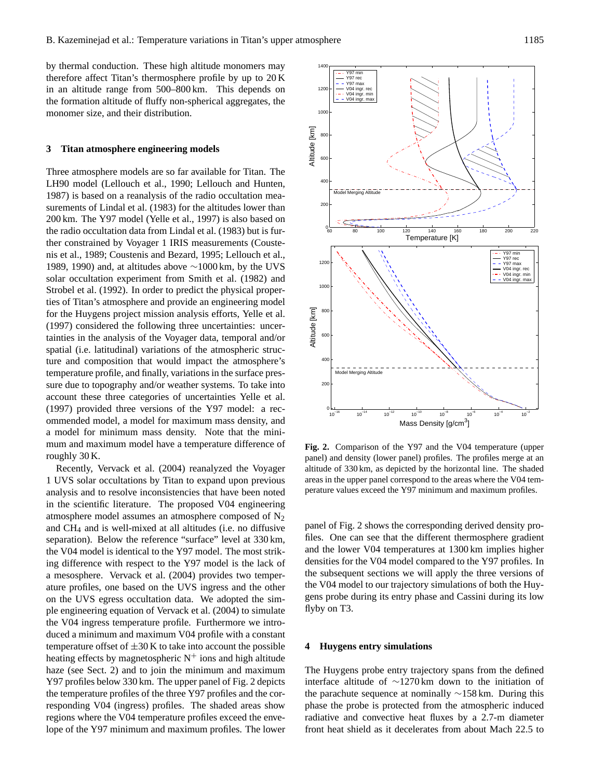by thermal conduction. These high altitude monomers may therefore affect Titan's thermosphere profile by up to 20 K in an altitude range from 500–800 km. This depends on the formation altitude of fluffy non-spherical aggregates, the monomer size, and their distribution.

#### <span id="page-2-0"></span>**3 Titan atmosphere engineering models**

Three atmosphere models are so far available for Titan. The LH90 model [\(Lellouch et al.,](#page-6-2) [1990;](#page-6-2) [Lellouch and Hunten,](#page-6-14) [1987\)](#page-6-14) is based on a reanalysis of the radio occultation measurements of [Lindal et al.](#page-6-15) [\(1983\)](#page-6-15) for the altitudes lower than 200 km. The Y97 model [\(Yelle et al.,](#page-6-1) [1997\)](#page-6-1) is also based on the radio occultation data from [Lindal et al.](#page-6-15) [\(1983\)](#page-6-15) but is further constrained by Voyager 1 IRIS measurements [\(Couste](#page-5-3)[nis et al.,](#page-5-3) [1989;](#page-5-3) [Coustenis and Bezard,](#page-5-4) [1995;](#page-5-4) [Lellouch et al.,](#page-6-16) [1989,](#page-6-16) [1990\)](#page-6-2) and, at altitudes above ∼1000 km, by the UVS solar occultation experiment from [Smith et al.](#page-6-17) [\(1982\)](#page-6-17) and [Strobel et al.](#page-6-18) [\(1992\)](#page-6-18). In order to predict the physical properties of Titan's atmosphere and provide an engineering model for the Huygens project mission analysis efforts, [Yelle et al.](#page-6-1) [\(1997\)](#page-6-1) considered the following three uncertainties: uncertainties in the analysis of the Voyager data, temporal and/or spatial (i.e. latitudinal) variations of the atmospheric structure and composition that would impact the atmosphere's temperature profile, and finally, variations in the surface pressure due to topography and/or weather systems. To take into account these three categories of uncertainties [Yelle et al.](#page-6-1) [\(1997\)](#page-6-1) provided three versions of the Y97 model: a recommended model, a model for maximum mass density, and a model for minimum mass density. Note that the minimum and maximum model have a temperature difference of roughly 30 K.

Recently, [Vervack et al.](#page-6-0) [\(2004\)](#page-6-0) reanalyzed the Voyager 1 UVS solar occultations by Titan to expand upon previous analysis and to resolve inconsistencies that have been noted in the scientific literature. The proposed V04 engineering atmosphere model assumes an atmosphere composed of  $N_2$ and CH<sup>4</sup> and is well-mixed at all altitudes (i.e. no diffusive separation). Below the reference "surface" level at 330 km, the V04 model is identical to the Y97 model. The most striking difference with respect to the Y97 model is the lack of a mesosphere. [Vervack et al.](#page-6-0) [\(2004\)](#page-6-0) provides two temperature profiles, one based on the UVS ingress and the other on the UVS egress occultation data. We adopted the simple engineering equation of [Vervack et al.](#page-6-0) [\(2004\)](#page-6-0) to simulate the V04 ingress temperature profile. Furthermore we introduced a minimum and maximum V04 profile with a constant temperature offset of  $\pm 30$  K to take into account the possible heating effects by magnetospheric  $N^+$  ions and high altitude haze (see Sect. [2\)](#page-1-0) and to join the minimum and maximum Y97 profiles below 330 km. The upper panel of Fig. [2](#page-2-2) depicts the temperature profiles of the three Y97 profiles and the corresponding V04 (ingress) profiles. The shaded areas show regions where the V04 temperature profiles exceed the envelope of the Y97 minimum and maximum profiles. The lower



<span id="page-2-2"></span><sup>Of</sup> Fig. 2. Comparison of the Y97 and the V04 temperature (upper panel) and density (lower panel) profiles. The profiles merge at an er altitude of 330 km, as depicted by the horizontal line. The shaded areas in the upper panel correspond to the areas where the V04 temperature values exceed the Y97 minimum and maximum profiles.

files. One can see that the different thermosphere gradient panel of Fig. [2](#page-2-2) shows the corresponding derived density proand the lower V04 temperatures at 1300 km implies higher densities for the V04 model compared to the Y97 profiles. In the subsequent sections we will apply the three versions of the V04 model to our trajectory simulations of both the Huygens probe during its entry phase and Cassini during its low flyby on T3.

## <span id="page-2-1"></span>**4 Huygens entry simulations**

The Huygens probe entry trajectory spans from the defined interface altitude of ∼1270 km down to the initiation of the parachute sequence at nominally ∼158 km. During this phase the probe is protected from the atmospheric induced radiative and convective heat fluxes by a 2.7-m diameter front heat shield as it decelerates from about Mach 22.5 to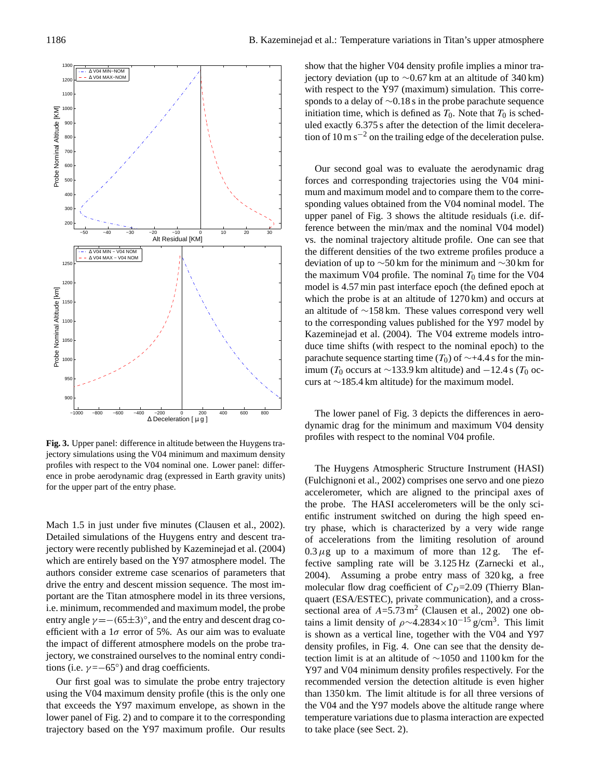

<span id="page-3-0"></span>**Fig. 3.** Upper panel: difference in altitude between the Huygens trajectory simulations using the V04 minimum and maximum density profiles with respect to the V04 nominal one. Lower panel: difference in probe aerodynamic drag (expressed in Earth gravity units) for the upper part of the entry phase.

Mach 1.5 in just under five minutes [\(Clausen et al.,](#page-5-5) [2002\)](#page-5-5). Detailed simulations of the Huygens entry and descent trajectory were recently published by [Kazeminejad et al.](#page-6-6) [\(2004\)](#page-6-6) which are entirely based on the Y97 atmosphere model. The authors consider extreme case scenarios of parameters that drive the entry and descent mission sequence. The most important are the Titan atmosphere model in its three versions, i.e. minimum, recommended and maximum model, the probe entry angle  $\gamma = -(65 \pm 3)^{\circ}$ , and the entry and descent drag coefficient with a  $1\sigma$  error of 5%. As our aim was to evaluate the impact of different atmosphere models on the probe trajectory, we constrained ourselves to the nominal entry conditions (i.e.  $\gamma = -65^\circ$ ) and drag coefficients.

Our first goal was to simulate the probe entry trajectory using the V04 maximum density profile (this is the only one that exceeds the Y97 maximum envelope, as shown in the lower panel of Fig. [2\)](#page-2-2) and to compare it to the corresponding trajectory based on the Y97 maximum profile. Our results show that the higher V04 density profile implies a minor trajectory deviation (up to ∼0.67 km at an altitude of 340 km) with respect to the Y97 (maximum) simulation. This corresponds to a delay of ∼0.18 s in the probe parachute sequence initiation time, which is defined as  $T_0$ . Note that  $T_0$  is scheduled exactly 6.375 s after the detection of the limit deceleration of 10 m s<sup> $-2$ </sup> on the trailing edge of the deceleration pulse.

Our second goal was to evaluate the aerodynamic drag forces and corresponding trajectories using the V04 minimum and maximum model and to compare them to the corresponding values obtained from the V04 nominal model. The upper panel of Fig. [3](#page-3-0) shows the altitude residuals (i.e. difference between the min/max and the nominal V04 model) vs. the nominal trajectory altitude profile. One can see that the different densities of the two extreme profiles produce a deviation of up to ∼50 km for the minimum and ∼30 km for the maximum V04 profile. The nominal  $T_0$  time for the V04 model is 4.57 min past interface epoch (the defined epoch at which the probe is at an altitude of 1270 km) and occurs at an altitude of ∼158 km. These values correspond very well to the corresponding values published for the Y97 model by [Kazeminejad et al.](#page-6-6) [\(2004\)](#page-6-6). The V04 extreme models introduce time shifts (with respect to the nominal epoch) to the parachute sequence starting time ( $T_0$ ) of ~+4.4 s for the minimum ( $T_0$  occurs at ∼133.9 km altitude) and −12.4 s ( $T_0$  occurs at ∼185.4 km altitude) for the maximum model.

The lower panel of Fig. [3](#page-3-0) depicts the differences in aerodynamic drag for the minimum and maximum V04 density profiles with respect to the nominal V04 profile.

The Huygens Atmospheric Structure Instrument (HASI) [\(Fulchignoni et al.,](#page-5-6) [2002\)](#page-5-6) comprises one servo and one piezo accelerometer, which are aligned to the principal axes of the probe. The HASI accelerometers will be the only scientific instrument switched on during the high speed entry phase, which is characterized by a very wide range of accelerations from the limiting resolution of around  $0.3 \mu$ g up to a maximum of more than 12 g. The effective sampling rate will be 3.125 Hz [\(Zarnecki et al.,](#page-6-19) [2004\)](#page-6-19). Assuming a probe entry mass of 320 kg, a free molecular flow drag coefficient of  $C_D$ =2.09 (Thierry Blanquaert (ESA/ESTEC), private communication), and a crosssectional area of  $A=5.73 \text{ m}^2$  [\(Clausen et al.,](#page-5-5) [2002\)](#page-5-5) one obtains a limit density of  $\rho \sim 4.2834 \times 10^{-15}$  g/cm<sup>3</sup>. This limit is shown as a vertical line, together with the V04 and Y97 density profiles, in Fig. [4.](#page-4-0) One can see that the density detection limit is at an altitude of ∼1050 and 1100 km for the Y97 and V04 minimum density profiles respectively. For the recommended version the detection altitude is even higher than 1350 km. The limit altitude is for all three versions of the V04 and the Y97 models above the altitude range where temperature variations due to plasma interaction are expected to take place (see Sect. [2\)](#page-1-0).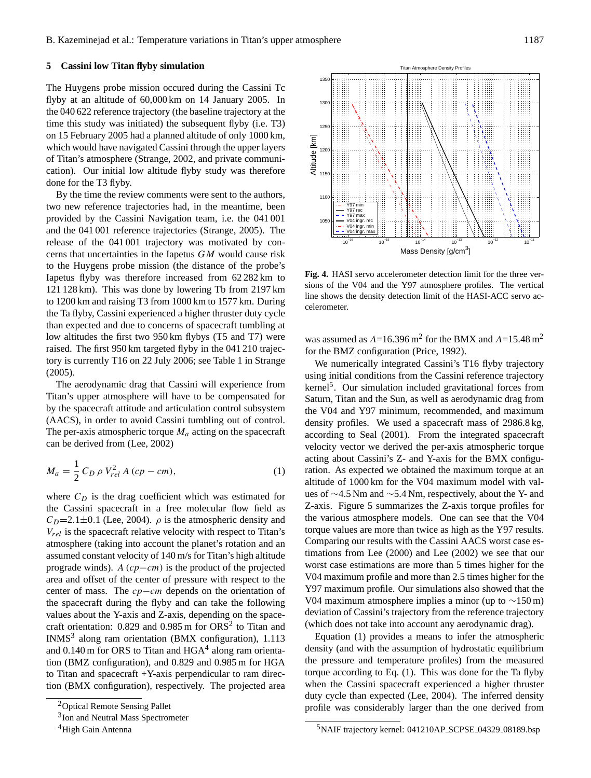## **5 Cassini low Titan flyby simulation**

The Huygens probe mission occured during the Cassini Tc flyby at an altitude of 60,000 km on 14 January 2005. In the 040 622 reference trajectory (the baseline trajectory at the time this study was initiated) the subsequent flyby (i.e. T3) on 15 February 2005 had a planned altitude of only 1000 km, which would have navigated Cassini through the upper layers of Titan's atmosphere [\(Strange,](#page-6-20) [2002,](#page-6-20) and private communication). Our initial low altitude flyby study was therefore done for the T3 flyby.

By the time the review comments were sent to the authors, two new reference trajectories had, in the meantime, been provided by the Cassini Navigation team, i.e. the 041 001 and the 041 001 reference trajectories [\(Strange,](#page-6-21) [2005\)](#page-6-21). The release of the 041 001 trajectory was motivated by concerns that uncertainties in the Iapetus  $GM$  would cause risk to the Huygens probe mission (the distance of the probe's Iapetus flyby was therefore increased from 62 282 km to 121 128 km). This was done by lowering Tb from 2197 km to 1200 km and raising T3 from 1000 km to 1577 km. During the Ta flyby, Cassini experienced a higher thruster duty cycle than expected and due to concerns of spacecraft tumbling at low altitudes the first two 950 km flybys (T5 and T7) were raised. The first 950 km targeted flyby in the 041 210 trajectory is currently T16 on 22 July 2006; see Table 1 in [Strange](#page-6-21) [\(2005\)](#page-6-21).

The aerodynamic drag that Cassini will experience from Titan's upper atmosphere will have to be compensated for by the spacecraft attitude and articulation control subsystem (AACS), in order to avoid Cassini tumbling out of control. The per-axis atmospheric torque  $M_a$  acting on the spacecraft can be derived from [\(Lee,](#page-6-22) [2002\)](#page-6-22)

<span id="page-4-5"></span>
$$
M_a = \frac{1}{2} C_D \, \rho \, V_{rel}^2 \, A \, (cp - cm), \tag{1}
$$

where  $C_D$  is the drag coefficient which was estimated for the Cassini spacecraft in a free molecular flow field as  $C_D=2.1\pm0.1$  [\(Lee,](#page-6-23) [2004\)](#page-6-23).  $\rho$  is the atmospheric density and  $V_{rel}$  is the spacecraft relative velocity with respect to Titan's atmosphere (taking into account the planet's rotation and an assumed constant velocity of 140 m/s for Titan's high altitude prograde winds). A  $(cp-cm)$  is the product of the projected area and offset of the center of pressure with respect to the center of mass. The cp−cm depends on the orientation of the spacecraft during the flyby and can take the following values about the Y-axis and Z-axis, depending on the spacecraft orientation:  $0.829$  $0.829$  $0.829$  and  $0.985$  m for ORS<sup>2</sup> to Titan and INMS<sup>[3](#page-4-2)</sup> along ram orientation (BMX configuration), 1.113 and  $0.140$  $0.140$  $0.140$  m for ORS to Titan and  $HGA<sup>4</sup>$  along ram orientation (BMZ configuration), and 0.829 and 0.985 m for HGA to Titan and spacecraft +Y-axis perpendicular to ram direction (BMX configuration), respectively. The projected area



<span id="page-4-0"></span>**Fig. 4.** HASI servo accelerometer detection limit for the three versions of the V04 and the Y97 atmosphere profiles. The vertical line shows the density detection limit of the HASI-ACC servo accelerometer.

was assumed as  $A=16.396 \text{ m}^2$  for the BMX and  $A=15.48 \text{ m}^2$ for the BMZ configuration [\(Price,](#page-6-24) [1992\)](#page-6-24).

We numerically integrated Cassini's T16 flyby trajectory using initial conditions from the Cassini reference trajectory kernel<sup>[5](#page-4-4)</sup>. Our simulation included gravitational forces from Saturn, Titan and the Sun, as well as aerodynamic drag from the V04 and Y97 minimum, recommended, and maximum density profiles. We used a spacecraft mass of 2986.8 kg, according to [Seal](#page-6-25) [\(2001\)](#page-6-25). From the integrated spacecraft velocity vector we derived the per-axis atmospheric torque acting about Cassini's Z- and Y-axis for the BMX configuration. As expected we obtained the maximum torque at an altitude of 1000 km for the V04 maximum model with values of ∼4.5 Nm and ∼5.4 Nm, respectively, about the Y- and Z-axis. Figure [5](#page-5-0) summarizes the Z-axis torque profiles for the various atmosphere models. One can see that the V04 torque values are more than twice as high as the Y97 results. Comparing our results with the Cassini AACS worst case estimations from [Lee](#page-6-26) [\(2000\)](#page-6-26) and [Lee](#page-6-22) [\(2002\)](#page-6-22) we see that our worst case estimations are more than 5 times higher for the V04 maximum profile and more than 2.5 times higher for the Y97 maximum profile. Our simulations also showed that the V04 maximum atmosphere implies a minor (up to  $\sim$ 150 m) deviation of Cassini's trajectory from the reference trajectory (which does not take into account any aerodynamic drag).

Equation [\(1\)](#page-4-5) provides a means to infer the atmospheric density (and with the assumption of hydrostatic equilibrium the pressure and temperature profiles) from the measured torque according to Eq. [\(1\)](#page-4-5). This was done for the Ta flyby when the Cassini spacecraft experienced a higher thruster duty cycle than expected [\(Lee,](#page-6-23) [2004\)](#page-6-23). The inferred density profile was considerably larger than the one derived from

<sup>2</sup>Optical Remote Sensing Pallet

<span id="page-4-1"></span><sup>&</sup>lt;sup>3</sup>Ion and Neutral Mass Spectrometer

<span id="page-4-3"></span><span id="page-4-2"></span><sup>&</sup>lt;sup>4</sup>High Gain Antenna

<span id="page-4-4"></span><sup>5</sup>NAIF trajectory kernel: 041210AP SCPSE 04329 08189.bsp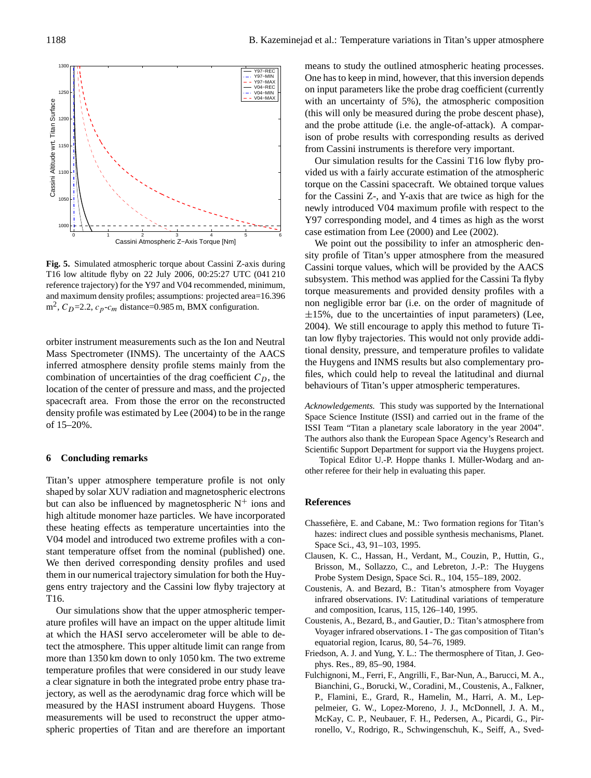

<span id="page-5-0"></span>**Fig. 5.** Simulated atmospheric torque about Cassini Z-axis during  $\epsilon$ T16 low altitude flyby on 22 July 2006, 00:25:27 UTC (041 210  $\epsilon_{\text{cm}}$ and maximum density profiles; assumptions: projected area = 16.396 m<sup>2</sup> , CD=2.2, cp-c<sup>m</sup> distance reference trajectory) for the Y97 and V04 recommended, minimum,  $m^2$ ,  $C_D$ =2.2,  $c_p$ - $c_m$  distance=0.985 m, BMX configuration. and maximum density profiles; assumptions: projected area=16.396

orbiter instrument measurements such as the Ion and Neutral Mass Spectrometer (INMS). The uncertainty of the AACS inferred atmosphere density profile stems mainly from the combination of uncertainties of the drag coefficient  $C_D$ , the location of the center of pressure and mass, and the projected spacecraft area. From those the error on the reconstructed density profile was estimated by [Lee](#page-6-23) [\(2004\)](#page-6-23) to be in the range of 15–20%.

# **6 Concluding remarks**

V04 model and introduced two extreme profiles with a con-Titan's upper atmosphere temperature profile is not only shaped by solar XUV radiation and magnetospheric electrons but can also be influenced by magnetospheric  $N^+$  ions and high altitude monomer haze particles. We have incorporated these heating effects as temperature uncertainties into the stant temperature offset from the nominal (published) one. We then derived corresponding density profiles and used them in our numerical trajectory simulation for both the Huygens entry trajectory and the Cassini low flyby trajectory at T16.

Our simulations show that the upper atmospheric temperature profiles will have an impact on the upper altitude limit at which the HASI servo accelerometer will be able to detect the atmosphere. This upper altitude limit can range from more than 1350 km down to only 1050 km. The two extreme temperature profiles that were considered in our study leave a clear signature in both the integrated probe entry phase trajectory, as well as the aerodynamic drag force which will be measured by the HASI instrument aboard Huygens. Those measurements will be used to reconstruct the upper atmospheric properties of Titan and are therefore an important means to study the outlined atmospheric heating processes. One has to keep in mind, however, that this inversion depends on input parameters like the probe drag coefficient (currently with an uncertainty of 5%), the atmospheric composition (this will only be measured during the probe descent phase), and the probe attitude (i.e. the angle-of-attack). A comparison of probe results with corresponding results as derived from Cassini instruments is therefore very important.

Our simulation results for the Cassini T16 low flyby provided us with a fairly accurate estimation of the atmospheric torque on the Cassini spacecraft. We obtained torque values for the Cassini Z-, and Y-axis that are twice as high for the newly introduced V04 maximum profile with respect to the Y97 corresponding model, and 4 times as high as the worst case estimation from [Lee](#page-6-26) [\(2000\)](#page-6-26) and [Lee](#page-6-22) [\(2002\)](#page-6-22).

We point out the possibility to infer an atmospheric density profile of Titan's upper atmosphere from the measured Cassini torque values, which will be provided by the AACS subsystem. This method was applied for the Cassini Ta flyby torque measurements and provided density profiles with a non negligible error bar (i.e. on the order of magnitude of  $\pm 15$ %, due to the uncertainties of input parameters) [\(Lee,](#page-6-23) [2004\)](#page-6-23). We still encourage to apply this method to future Titan low flyby trajectories. This would not only provide additional density, pressure, and temperature profiles to validate the Huygens and INMS results but also complementary profiles, which could help to reveal the latitudinal and diurnal behaviours of Titan's upper atmospheric temperatures.

*Acknowledgements.* This study was supported by the International Space Science Institute (ISSI) and carried out in the frame of the ISSI Team "Titan a planetary scale laboratory in the year 2004". The authors also thank the European Space Agency's Research and Scientific Support Department for support via the Huygens project.

Topical Editor U.-P. Hoppe thanks I. Müller-Wodarg and another referee for their help in evaluating this paper.

#### **References**

- <span id="page-5-2"></span>Chassefière, E. and Cabane, M.: Two formation regions for Titan's hazes: indirect clues and possible synthesis mechanisms, Planet. Space Sci., 43, 91–103, 1995.
- <span id="page-5-5"></span>Clausen, K. C., Hassan, H., Verdant, M., Couzin, P., Huttin, G., Brisson, M., Sollazzo, C., and Lebreton, J.-P.: The Huygens Probe System Design, Space Sci. R., 104, 155–189, 2002.
- <span id="page-5-4"></span>Coustenis, A. and Bezard, B.: Titan's atmosphere from Voyager infrared observations. IV: Latitudinal variations of temperature and composition, Icarus, 115, 126–140, 1995.
- <span id="page-5-3"></span>Coustenis, A., Bezard, B., and Gautier, D.: Titan's atmosphere from Voyager infrared observations. I - The gas composition of Titan's equatorial region, Icarus, 80, 54–76, 1989.
- <span id="page-5-1"></span>Friedson, A. J. and Yung, Y. L.: The thermosphere of Titan, J. Geophys. Res., 89, 85–90, 1984.
- <span id="page-5-6"></span>Fulchignoni, M., Ferri, F., Angrilli, F., Bar-Nun, A., Barucci, M. A., Bianchini, G., Borucki, W., Coradini, M., Coustenis, A., Falkner, P., Flamini, E., Grard, R., Hamelin, M., Harri, A. M., Leppelmeier, G. W., Lopez-Moreno, J. J., McDonnell, J. A. M., McKay, C. P., Neubauer, F. H., Pedersen, A., Picardi, G., Pirronello, V., Rodrigo, R., Schwingenschuh, K., Seiff, A., Sved-